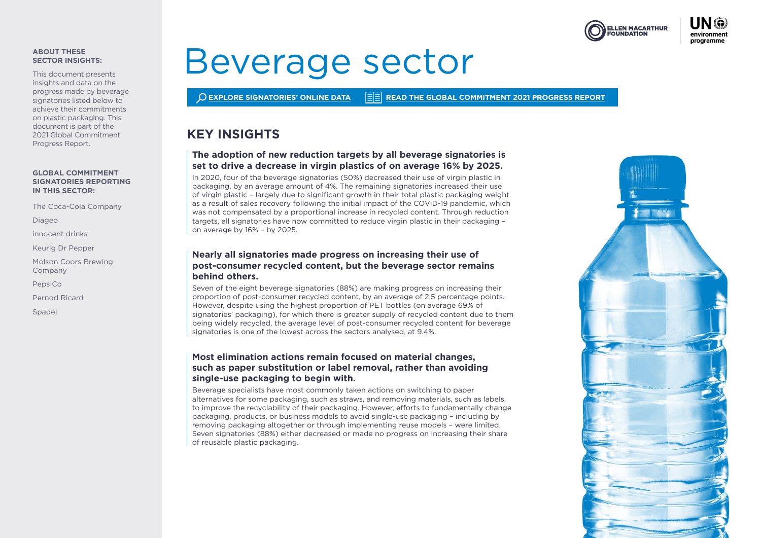

#### **ABOUT THESE SECTOR INSIGHTS:**

This document presents insights and data on the progress made by beverage signatories listed below to achieve their commitments on plastic packaging. This document is part of the 2021 Global Commitment Progress Report.

#### **GLOBAL COMMITMENT SIGNATORIES REPORTING IN THIS SECTOR:**

The Coca-Cola Company

Diageo

innocent drinks

Keurig Dr Pepper

Molson Coors Brewing Company

PepsiCo

Pernod Ricard

Spadel

# Beverage sector

**[EXPLORE SIGNATORIES' ONLINE DATA](https://ellenmacarthurfoundation.org/global-commitment/signatory-reports) [READ THE GLOBAL COMMITMENT 2021 PROGRESS REPORT](https://ellenmacarthurfoundation.org/global-commitment/overview)**

# **KEY INSIGHTS**

# **The adoption of new reduction targets by all beverage signatories is set to drive a decrease in virgin plastics of on average 16% by 2025.**

In 2020, four of the beverage signatories (50%) decreased their use of virgin plastic in packaging, by an average amount of 4%. The remaining signatories increased their use of virgin plastic – largely due to significant growth in their total plastic packaging weight as a result of sales recovery following the initial impact of the COVID-19 pandemic, which was not compensated by a proportional increase in recycled content. Through reduction targets, all signatories have now committed to reduce virgin plastic in their packaging – on average by 16% – by 2025.

# **Nearly all signatories made progress on increasing their use of post-consumer recycled content, but the beverage sector remains behind others.**

Seven of the eight beverage signatories (88%) are making progress on increasing their proportion of post-consumer recycled content, by an average of 2.5 percentage points. However, despite using the highest proportion of PET bottles (on average 69% of signatories' packaging), for which there is greater supply of recycled content due to them being widely recycled, the average level of post-consumer recycled content for beverage signatories is one of the lowest across the sectors analysed, at 9.4%.

# **Most elimination actions remain focused on material changes, such as paper substitution or label removal, rather than avoiding single-use packaging to begin with.**

Beverage specialists have most commonly taken actions on switching to paper alternatives for some packaging, such as straws, and removing materials, such as labels, to improve the recyclability of their packaging. However, efforts to fundamentally change packaging, products, or business models to avoid single-use packaging – including by removing packaging altogether or through implementing reuse models – were limited. Seven signatories (88%) either decreased or made no progress on increasing their share of reusable plastic packaging.

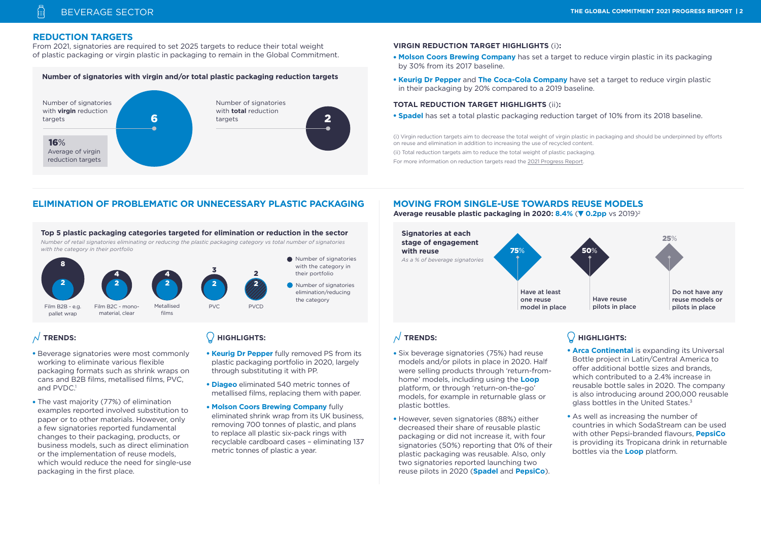## **REDUCTION TARGETS**

From 2021, signatories are required to set 2025 targets to reduce their total weight of plastic packaging or virgin plastic in packaging to remain in the Global Commitment.

#### **Number of signatories with virgin and/or total plastic packaging reduction targets**



#### **VIRGIN REDUCTION TARGET HIGHLIGHTS** (i)**:**

- **Molson Coors Brewing Company** has set a target to reduce virgin plastic in its packaging by 30% from its 2017 baseline.
- **Keurig Dr Pepper** and **The Coca-Cola Company** have set a target to reduce virgin plastic in their packaging by 20% compared to a 2019 baseline.

#### **TOTAL REDUCTION TARGET HIGHLIGHTS** (ii)**:**

• **Spadel** has set a total plastic packaging reduction target of 10% from its 2018 baseline.

(i) Virgin reduction targets aim to decrease the total weight of virgin plastic in packaging and should be underpinned by efforts on reuse and elimination in addition to increasing the use of recycled content.

(ii) Total reduction targets aim to reduce the total weight of plastic packaging.

For more information on reduction targets read the [2021 Progress Report.](https://ellenmacarthurfoundation.org/global-commitment/overview)

# **ELIMINATION OF PROBLEMATIC OR UNNECESSARY PLASTIC PACKAGING MOVING FROM SINGLE-USE TOWARDS REUSE MODELS**

#### **Top 5 plastic packaging categories targeted for elimination or reduction in the sector**

*Number of retail signatories eliminating or reducing the plastic packaging category vs total number of signatories with the category in their portfolio*



# $\overline{\wedge}$  TRENDS:

- Beverage signatories were most commonly working to eliminate various flexible packaging formats such as shrink wraps on cans and B2B films, metallised films, PVC, and PVDC<sup>1</sup>
- The vast majority (77%) of elimination examples reported involved substitution to paper or to other materials. However, only a few signatories reported fundamental changes to their packaging, products, or business models, such as direct elimination or the implementation of reuse models, which would reduce the need for single-use packaging in the first place.

# **HIGHLIGHTS:**

- **Keurig Dr Pepper** fully removed PS from its plastic packaging portfolio in 2020, largely through substituting it with PP.
- **Diageo** eliminated 540 metric tonnes of metallised films, replacing them with paper.
- **Molson Coors Brewing Company** fully eliminated shrink wrap from its UK business, removing 700 tonnes of plastic, and plans to replace all plastic six-pack rings with recyclable cardboard cases – eliminating 137 metric tonnes of plastic a year.

**Average reusable plastic packaging in 2020: 8.4% (** $\blacktriangledown$  **0.2pp vs 2019)<sup>2</sup>** 



# $\sqrt{}$  TRENDS:

- Six beverage signatories (75%) had reuse models and/or pilots in place in 2020. Half were selling products through 'return-fromhome' models, including using the **Loop** platform, or through 'return-on-the-go' models, for example in returnable glass or plastic bottles.
- However, seven signatories (88%) either decreased their share of reusable plastic packaging or did not increase it, with four signatories (50%) reporting that 0% of their plastic packaging was reusable. Also, only two signatories reported launching two reuse pilots in 2020 (**Spadel** and **PepsiCo**).

# **HIGHLIGHTS:**

- **Arca Continental** is expanding its Universal Bottle project in Latin/Central America to offer additional bottle sizes and brands, which contributed to a 2.4% increase in reusable bottle sales in 2020. The company is also introducing around 200,000 reusable glass bottles in the United States.<sup>3</sup>
- As well as increasing the number of countries in which SodaStream can be used with other Pepsi-branded flavours, **PepsiCo** is providing its Tropicana drink in returnable bottles via the **Loop** platform.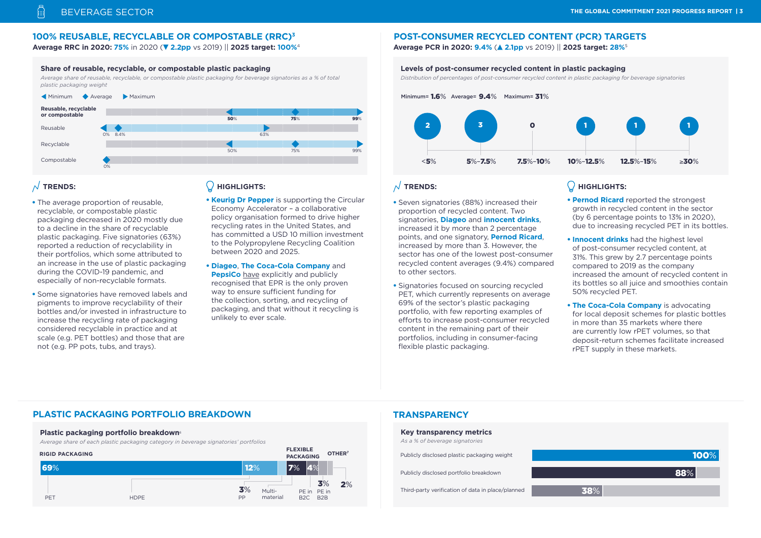#### **100% REUSABLE, RECYCLABLE OR COMPOSTABLE (RRC)3**

**Average RRC in 2020: 75%** in 2020 ( **2.2pp** vs 2019) || **2025 target: 100%**4 **Average PCR in 2020: 9.4%** ( **2.1pp** vs 2019) || **2025 target: 28%**<sup>5</sup>

#### **Share of reusable, recyclable, or compostable plastic packaging**

*Average share of reusable, recyclable, or compostable plastic packaging for beverage signatories as a % of total plastic packaging weight*



## $\overline{\wedge}$  TRENDS:

- The average proportion of reusable. recyclable, or compostable plastic packaging decreased in 2020 mostly due to a decline in the share of recyclable plastic packaging. Five signatories (63%) reported a reduction of recyclability in their portfolios, which some attributed to an increase in the use of plastic packaging during the COVID-19 pandemic, and especially of non-recyclable formats.
- Some signatories have removed labels and pigments to improve recyclability of their bottles and/or invested in infrastructure to increase the recycling rate of packaging considered recyclable in practice and at scale (e.g. PET bottles) and those that are not (e.g. PP pots, tubs, and trays).

#### **HIGHLIGHTS:**

• **Keurig Dr Pepper** is supporting the Circular Economy Accelerator – a collaborative policy organisation formed to drive higher recycling rates in the United States, and has committed a USD 10 million investment to the Polypropylene Recycling Coalition between 2020 and 2025.

• **Diageo**, **The Coca-Cola Company** and **PepsiCo** [have](https://plastics.ellenmacarthurfoundation.org/epr#Statement) explicitly and publicly recognised that EPR is the only proven way to ensure sufficient funding for the collection, sorting, and recycling of packaging, and that without it recycling is unlikely to ever scale.

# **POST-CONSUMER RECYCLED CONTENT (PCR) TARGETS**

#### **Levels of post-consumer recycled content in plastic packaging**

*Distribution of percentages of post-consumer recycled content in plastic packaging for beverage signatories* 



#### $\sqrt{\ }$  TRENDS:

- Seven signatories (88%) increased their proportion of recycled content. Two signatories, **Diageo** and **innocent drinks**, increased it by more than 2 percentage points, and one signatory, **Pernod Ricard**, increased by more than 3. However, the sector has one of the lowest post-consumer recycled content averages (9.4%) compared to other sectors.
- Signatories focused on sourcing recycled PET, which currently represents on average 69% of the sector's plastic packaging portfolio, with few reporting examples of efforts to increase post-consumer recycled content in the remaining part of their portfolios, including in consumer-facing flexible plastic packaging.

# $\bigcirc$  HIGHLIGHTS:

- **Pernod Ricard** reported the strongest growth in recycled content in the sector (by 6 percentage points to 13% in 2020), due to increasing recycled PET in its bottles.
- **Innocent drinks** had the highest level of post-consumer recycled content, at 31%. This grew by 2.7 percentage points compared to 2019 as the company increased the amount of recycled content in its bottles so all juice and smoothies contain 50% recycled PET.
- **The Coca-Cola Company** is advocating for local deposit schemes for plastic bottles in more than 35 markets where there are currently low rPET volumes, so that deposit-return schemes facilitate increased rPET supply in these markets.

# **PLASTIC PACKAGING PORTFOLIO BREAKDOWN**

#### **Plastic packaging portfolio breakdown**<sup>6</sup>

*Average share of each plastic packaging category in beverage signatories' portfolios* 



# **TRANSPARENCY**